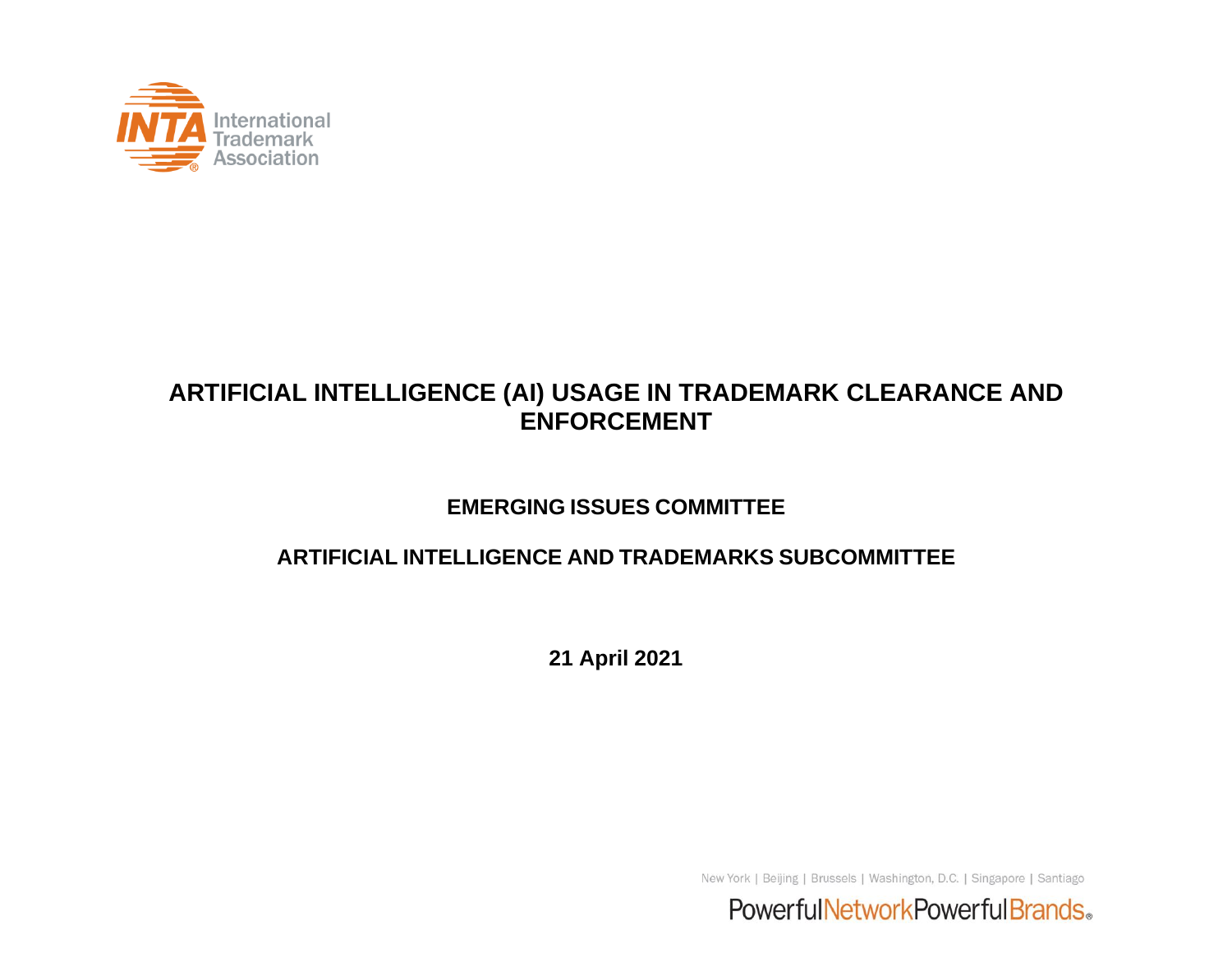

#### **ARTIFICIAL INTELLIGENCE (AI) USAGE IN TRADEMARK CLEARANCE AND ENFORCEMENT**

#### **EMERGING ISSUES COMMITTEE**

#### **ARTIFICIAL INTELLIGENCE AND TRADEMARKS SUBCOMMITTEE**

**21 April 2021**

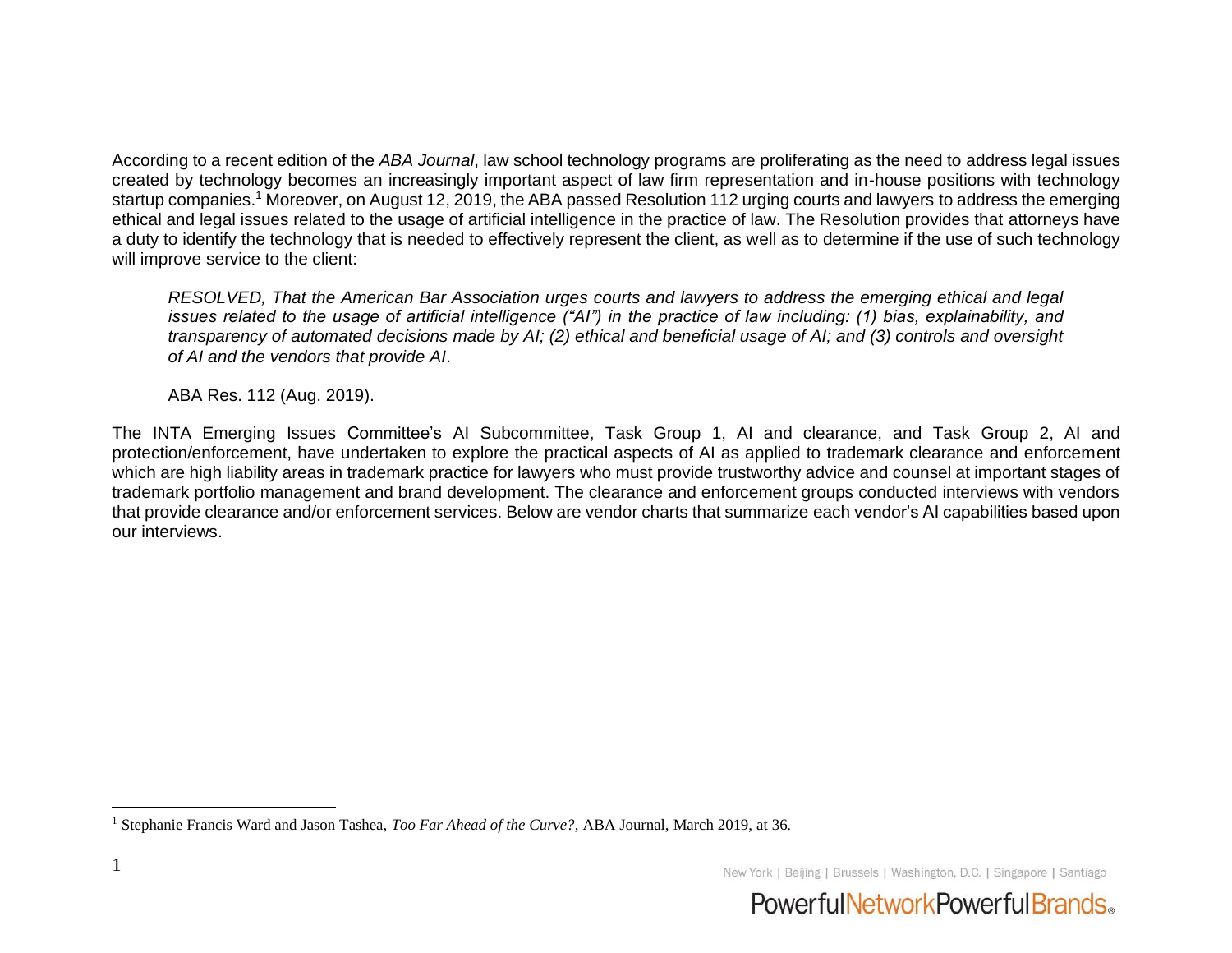According to a recent edition of the *ABA Journal*, law school technology programs are proliferating as the need to address legal issues created by technology becomes an increasingly important aspect of law firm representation and in-house positions with technology startup companies.<sup>1</sup> Moreover, on August 12, 2019, the ABA passed Resolution 112 urging courts and lawyers to address the emerging ethical and legal issues related to the usage of artificial intelligence in the practice of law. The Resolution provides that attorneys have a duty to identify the technology that is needed to effectively represent the client, as well as to determine if the use of such technology will improve service to the client:

*RESOLVED, That the American Bar Association urges courts and lawyers to address the emerging ethical and legal issues related to the usage of artificial intelligence ("AI") in the practice of law including: (1) bias, explainability, and transparency of automated decisions made by AI; (2) ethical and beneficial usage of AI; and (3) controls and oversight of AI and the vendors that provide AI*.

ABA Res. 112 (Aug. 2019).

The INTA Emerging Issues Committee's AI Subcommittee, Task Group 1, AI and clearance, and Task Group 2, AI and protection/enforcement, have undertaken to explore the practical aspects of AI as applied to trademark clearance and enforcement which are high liability areas in trademark practice for lawyers who must provide trustworthy advice and counsel at important stages of trademark portfolio management and brand development. The clearance and enforcement groups conducted interviews with vendors that provide clearance and/or enforcement services. Below are vendor charts that summarize each vendor's AI capabilities based upon our interviews.



<sup>1</sup> Stephanie Francis Ward and Jason Tashea, *Too Far Ahead of the Curve?*, ABA Journal, March 2019, at 36.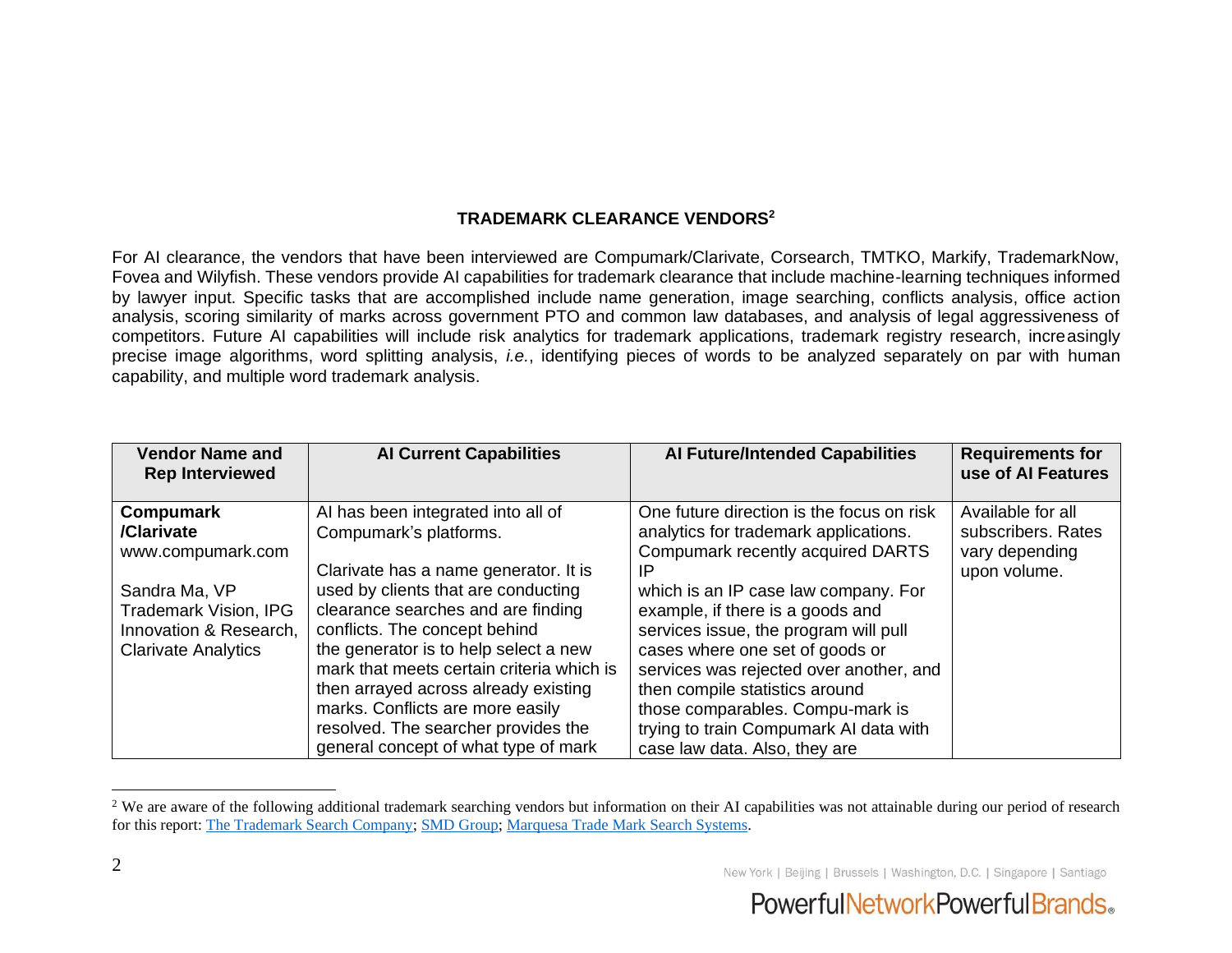#### **TRADEMARK CLEARANCE VENDORS<sup>2</sup>**

For AI clearance, the vendors that have been interviewed are Compumark/Clarivate, Corsearch, TMTKO, Markify, TrademarkNow, Fovea and Wilyfish. These vendors provide AI capabilities for trademark clearance that include machine-learning techniques informed by lawyer input. Specific tasks that are accomplished include name generation, image searching, conflicts analysis, office action analysis, scoring similarity of marks across government PTO and common law databases, and analysis of legal aggressiveness of competitors. Future AI capabilities will include risk analytics for trademark applications, trademark registry research, increasingly precise image algorithms, word splitting analysis, *i.e.*, identifying pieces of words to be analyzed separately on par with human capability, and multiple word trademark analysis.

| <b>Vendor Name and</b><br><b>Rep Interviewed</b> | <b>Al Current Capabilities</b>            | <b>Al Future/Intended Capabilities</b>    | <b>Requirements for</b><br>use of Al Features |
|--------------------------------------------------|-------------------------------------------|-------------------------------------------|-----------------------------------------------|
| <b>Compumark</b>                                 | Al has been integrated into all of        | One future direction is the focus on risk | Available for all                             |
| /Clarivate                                       | Compumark's platforms.                    | analytics for trademark applications.     | subscribers. Rates                            |
| www.compumark.com                                |                                           | Compumark recently acquired DARTS         | vary depending                                |
|                                                  | Clarivate has a name generator. It is     | IP                                        | upon volume.                                  |
| Sandra Ma, VP                                    | used by clients that are conducting       | which is an IP case law company. For      |                                               |
| <b>Trademark Vision, IPG</b>                     | clearance searches and are finding        | example, if there is a goods and          |                                               |
| Innovation & Research,                           | conflicts. The concept behind             | services issue, the program will pull     |                                               |
| <b>Clarivate Analytics</b>                       | the generator is to help select a new     | cases where one set of goods or           |                                               |
|                                                  | mark that meets certain criteria which is | services was rejected over another, and   |                                               |
|                                                  | then arrayed across already existing      | then compile statistics around            |                                               |
|                                                  | marks. Conflicts are more easily          | those comparables. Compu-mark is          |                                               |
|                                                  | resolved. The searcher provides the       | trying to train Compumark AI data with    |                                               |
|                                                  | general concept of what type of mark      | case law data. Also, they are             |                                               |

<sup>&</sup>lt;sup>2</sup> We are aware of the following additional trademark searching vendors but information on their AI capabilities was not attainable during our period of research for this report: [The Trademark Search Company;](http://www.thetrademarksearchcompany.com/) [SMD Group;](https://www.smd-group.info/home.aspx) [Marquesa Trade Mark Search Systems.](https://marquesa.net/)

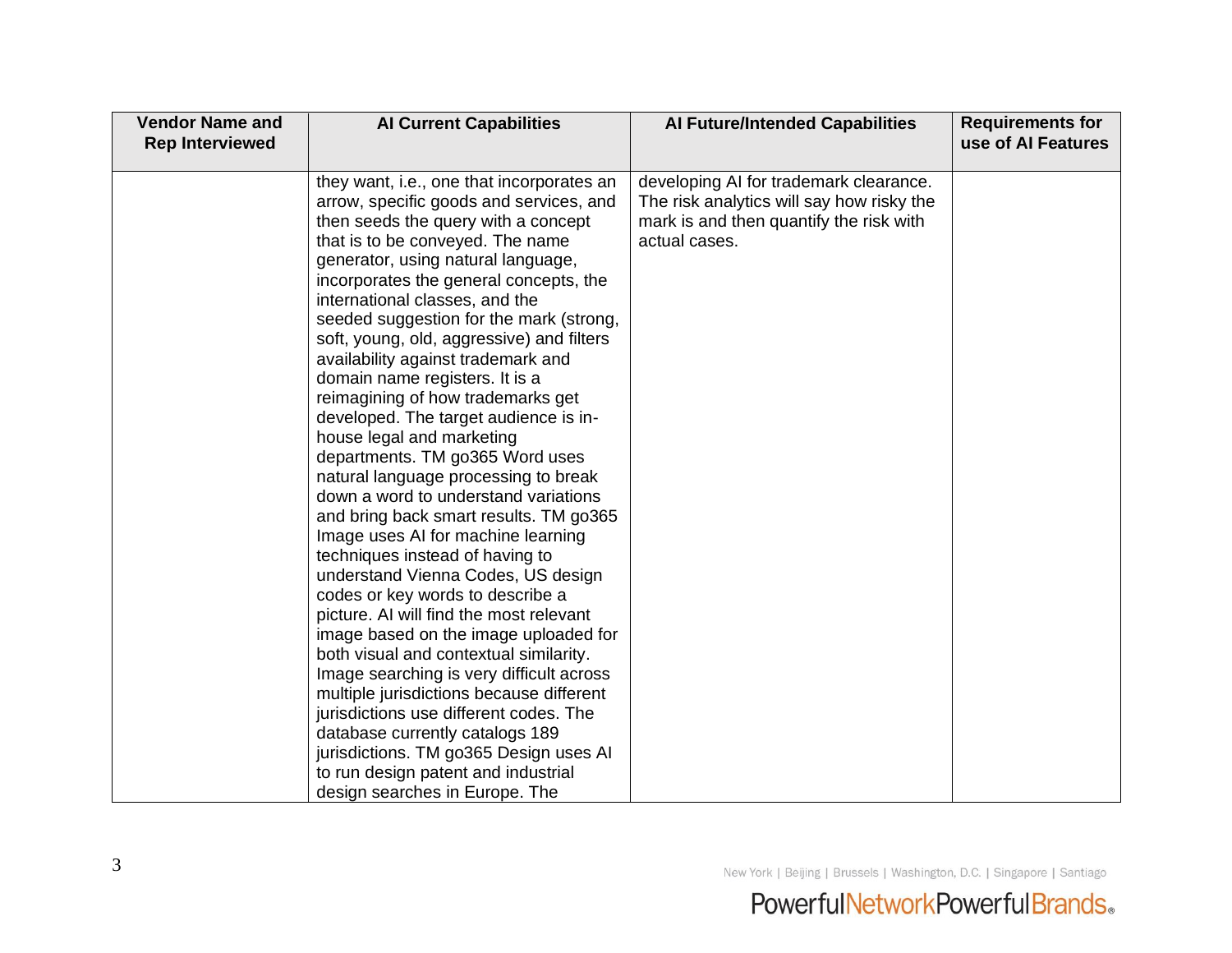| <b>Vendor Name and</b> | <b>Al Current Capabilities</b>                                                                                                                                  | <b>Al Future/Intended Capabilities</b>                                                                                                          | <b>Requirements for</b> |
|------------------------|-----------------------------------------------------------------------------------------------------------------------------------------------------------------|-------------------------------------------------------------------------------------------------------------------------------------------------|-------------------------|
| <b>Rep Interviewed</b> |                                                                                                                                                                 |                                                                                                                                                 | use of Al Features      |
|                        | they want, i.e., one that incorporates an<br>arrow, specific goods and services, and<br>then seeds the query with a concept<br>that is to be conveyed. The name | developing AI for trademark clearance.<br>The risk analytics will say how risky the<br>mark is and then quantify the risk with<br>actual cases. |                         |
|                        | generator, using natural language,<br>incorporates the general concepts, the<br>international classes, and the                                                  |                                                                                                                                                 |                         |
|                        | seeded suggestion for the mark (strong,<br>soft, young, old, aggressive) and filters<br>availability against trademark and                                      |                                                                                                                                                 |                         |
|                        | domain name registers. It is a<br>reimagining of how trademarks get<br>developed. The target audience is in-                                                    |                                                                                                                                                 |                         |
|                        | house legal and marketing<br>departments. TM go365 Word uses<br>natural language processing to break                                                            |                                                                                                                                                 |                         |
|                        | down a word to understand variations<br>and bring back smart results. TM go365<br>Image uses AI for machine learning                                            |                                                                                                                                                 |                         |
|                        | techniques instead of having to<br>understand Vienna Codes, US design<br>codes or key words to describe a                                                       |                                                                                                                                                 |                         |
|                        | picture. AI will find the most relevant<br>image based on the image uploaded for<br>both visual and contextual similarity.                                      |                                                                                                                                                 |                         |
|                        | Image searching is very difficult across<br>multiple jurisdictions because different<br>jurisdictions use different codes. The                                  |                                                                                                                                                 |                         |
|                        | database currently catalogs 189<br>jurisdictions. TM go365 Design uses AI<br>to run design patent and industrial                                                |                                                                                                                                                 |                         |
|                        | design searches in Europe. The                                                                                                                                  |                                                                                                                                                 |                         |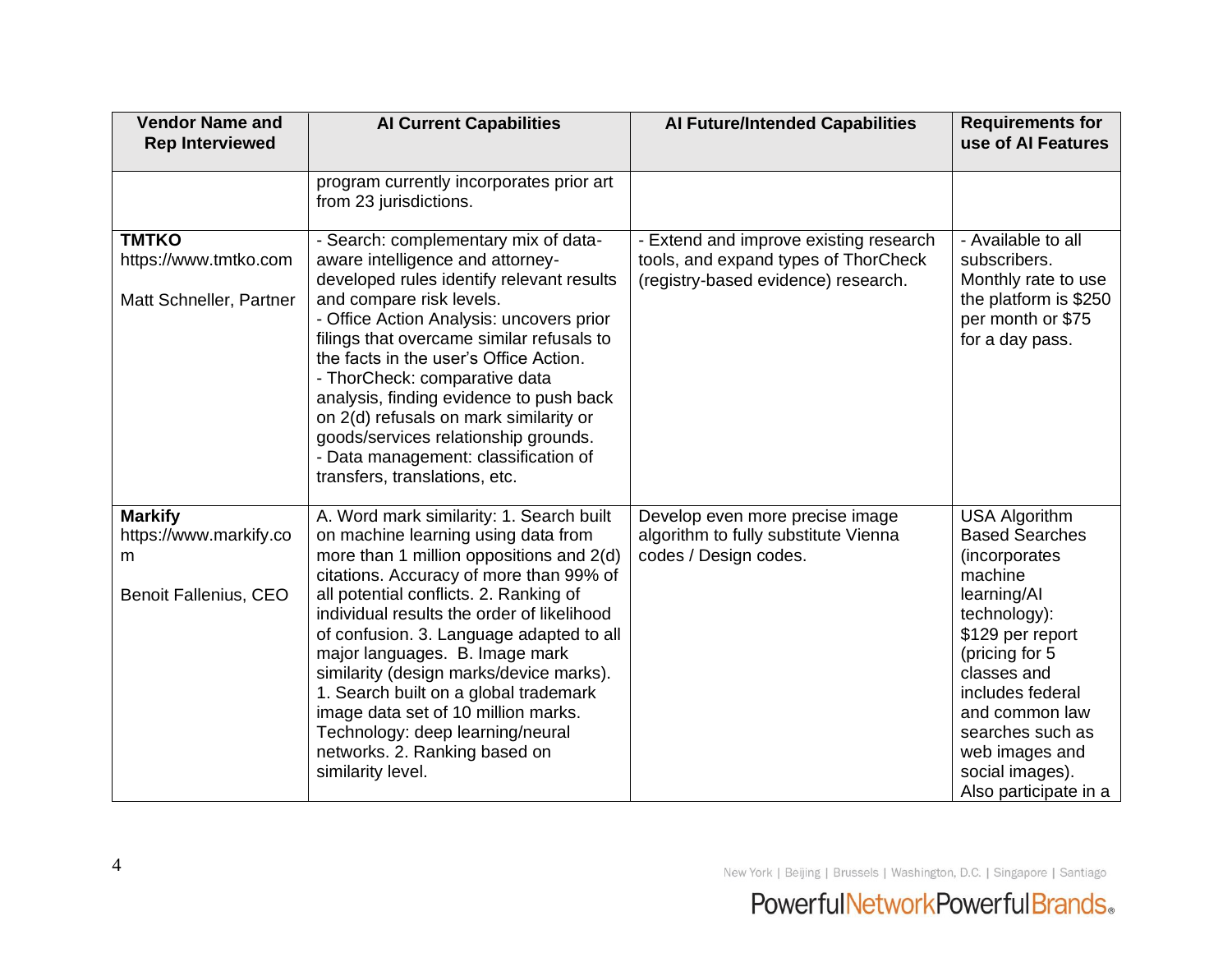| <b>Vendor Name and</b><br><b>Rep Interviewed</b>                              | <b>Al Current Capabilities</b>                                                                                                                                                                                                                                                                                                                                                                                                                                                                                                                                    | <b>Al Future/Intended Capabilities</b>                                                                                | <b>Requirements for</b><br>use of Al Features                                                                                                                                                                                                                                         |
|-------------------------------------------------------------------------------|-------------------------------------------------------------------------------------------------------------------------------------------------------------------------------------------------------------------------------------------------------------------------------------------------------------------------------------------------------------------------------------------------------------------------------------------------------------------------------------------------------------------------------------------------------------------|-----------------------------------------------------------------------------------------------------------------------|---------------------------------------------------------------------------------------------------------------------------------------------------------------------------------------------------------------------------------------------------------------------------------------|
|                                                                               | program currently incorporates prior art<br>from 23 jurisdictions.                                                                                                                                                                                                                                                                                                                                                                                                                                                                                                |                                                                                                                       |                                                                                                                                                                                                                                                                                       |
| <b>TMTKO</b><br>https://www.tmtko.com<br>Matt Schneller, Partner              | - Search: complementary mix of data-<br>aware intelligence and attorney-<br>developed rules identify relevant results<br>and compare risk levels.<br>- Office Action Analysis: uncovers prior<br>filings that overcame similar refusals to<br>the facts in the user's Office Action.<br>- ThorCheck: comparative data<br>analysis, finding evidence to push back<br>on 2(d) refusals on mark similarity or<br>goods/services relationship grounds.<br>- Data management: classification of<br>transfers, translations, etc.                                       | - Extend and improve existing research<br>tools, and expand types of ThorCheck<br>(registry-based evidence) research. | - Available to all<br>subscribers.<br>Monthly rate to use<br>the platform is \$250<br>per month or \$75<br>for a day pass.                                                                                                                                                            |
| <b>Markify</b><br>https://www.markify.co<br>m<br><b>Benoit Fallenius, CEO</b> | A. Word mark similarity: 1. Search built<br>on machine learning using data from<br>more than 1 million oppositions and 2(d)<br>citations. Accuracy of more than 99% of<br>all potential conflicts. 2. Ranking of<br>individual results the order of likelihood<br>of confusion. 3. Language adapted to all<br>major languages. B. Image mark<br>similarity (design marks/device marks).<br>1. Search built on a global trademark<br>image data set of 10 million marks.<br>Technology: deep learning/neural<br>networks. 2. Ranking based on<br>similarity level. | Develop even more precise image<br>algorithm to fully substitute Vienna<br>codes / Design codes.                      | <b>USA Algorithm</b><br><b>Based Searches</b><br>(incorporates<br>machine<br>learning/Al<br>technology):<br>\$129 per report<br>(pricing for 5<br>classes and<br>includes federal<br>and common law<br>searches such as<br>web images and<br>social images).<br>Also participate in a |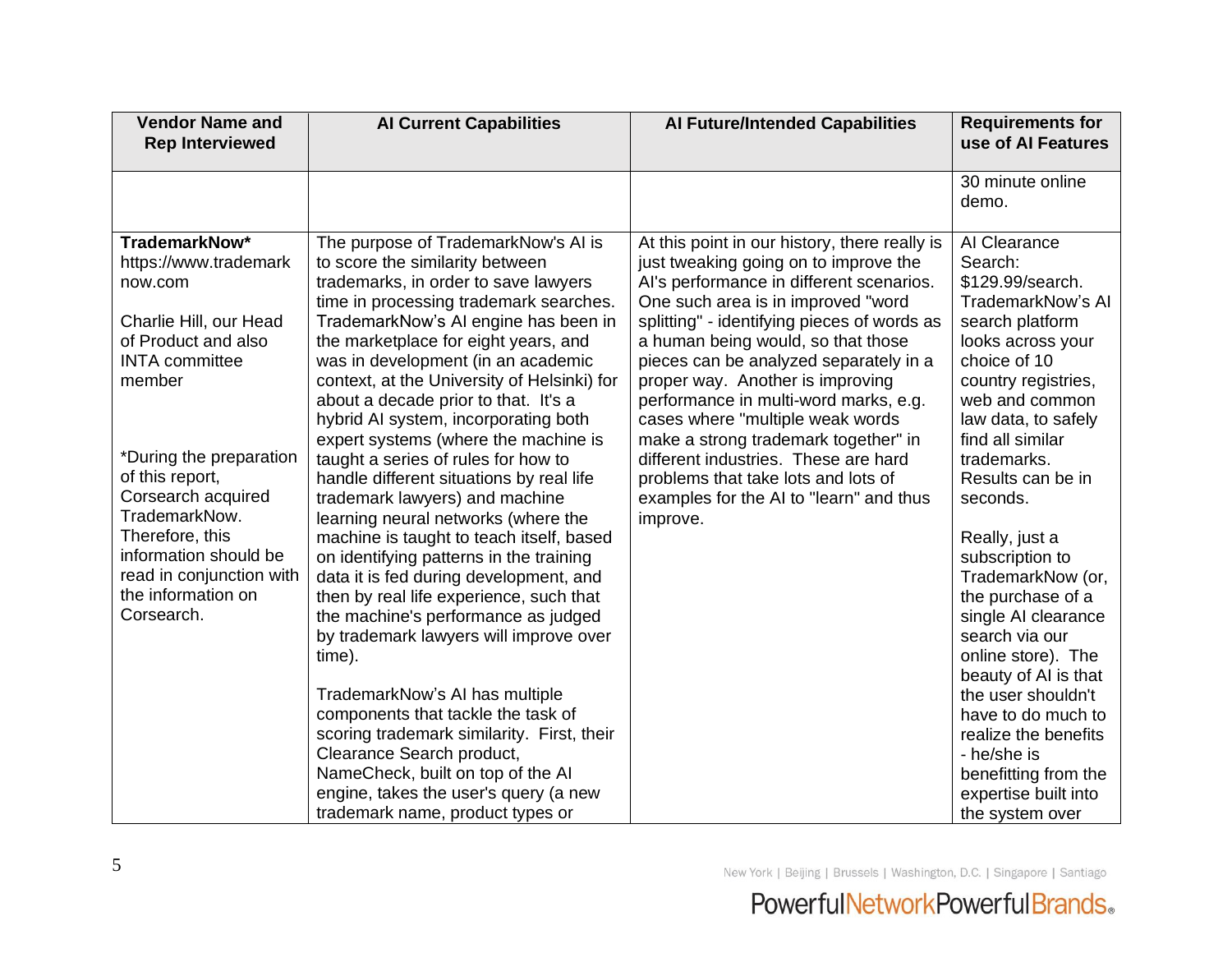| <b>Vendor Name and</b><br><b>Rep Interviewed</b>                                                                                      | <b>Al Current Capabilities</b>                                                                                                                                                                                                                                                                                                                                                                                | <b>Al Future/Intended Capabilities</b>                                                                                                                                                                                                                                                                                                                                                                                   | <b>Requirements for</b><br>use of AI Features                                                                                                                                            |
|---------------------------------------------------------------------------------------------------------------------------------------|---------------------------------------------------------------------------------------------------------------------------------------------------------------------------------------------------------------------------------------------------------------------------------------------------------------------------------------------------------------------------------------------------------------|--------------------------------------------------------------------------------------------------------------------------------------------------------------------------------------------------------------------------------------------------------------------------------------------------------------------------------------------------------------------------------------------------------------------------|------------------------------------------------------------------------------------------------------------------------------------------------------------------------------------------|
|                                                                                                                                       |                                                                                                                                                                                                                                                                                                                                                                                                               |                                                                                                                                                                                                                                                                                                                                                                                                                          | 30 minute online<br>demo.                                                                                                                                                                |
| TrademarkNow*<br>https://www.trademark<br>now.com<br>Charlie Hill, our Head<br>of Product and also<br><b>INTA</b> committee<br>member | The purpose of TrademarkNow's AI is<br>to score the similarity between<br>trademarks, in order to save lawyers<br>time in processing trademark searches.<br>TrademarkNow's AI engine has been in<br>the marketplace for eight years, and<br>was in development (in an academic<br>context, at the University of Helsinki) for<br>about a decade prior to that. It's a<br>hybrid AI system, incorporating both | At this point in our history, there really is<br>just tweaking going on to improve the<br>Al's performance in different scenarios.<br>One such area is in improved "word<br>splitting" - identifying pieces of words as<br>a human being would, so that those<br>pieces can be analyzed separately in a<br>proper way. Another is improving<br>performance in multi-word marks, e.g.<br>cases where "multiple weak words | Al Clearance<br>Search:<br>\$129.99/search.<br>TrademarkNow's AI<br>search platform<br>looks across your<br>choice of 10<br>country registries,<br>web and common<br>law data, to safely |
| *During the preparation<br>of this report,<br>Corsearch acquired<br>TrademarkNow.                                                     | expert systems (where the machine is<br>taught a series of rules for how to<br>handle different situations by real life<br>trademark lawyers) and machine<br>learning neural networks (where the                                                                                                                                                                                                              | make a strong trademark together" in<br>different industries. These are hard<br>problems that take lots and lots of<br>examples for the AI to "learn" and thus<br>improve.                                                                                                                                                                                                                                               | find all similar<br>trademarks.<br>Results can be in<br>seconds.                                                                                                                         |
| Therefore, this<br>information should be<br>read in conjunction with<br>the information on<br>Corsearch.                              | machine is taught to teach itself, based<br>on identifying patterns in the training<br>data it is fed during development, and<br>then by real life experience, such that<br>the machine's performance as judged<br>by trademark lawyers will improve over<br>time).                                                                                                                                           |                                                                                                                                                                                                                                                                                                                                                                                                                          | Really, just a<br>subscription to<br>TrademarkNow (or,<br>the purchase of a<br>single AI clearance<br>search via our<br>online store). The<br>beauty of AI is that                       |
|                                                                                                                                       | TrademarkNow's AI has multiple<br>components that tackle the task of<br>scoring trademark similarity. First, their<br>Clearance Search product,<br>NameCheck, built on top of the AI<br>engine, takes the user's query (a new<br>trademark name, product types or                                                                                                                                             |                                                                                                                                                                                                                                                                                                                                                                                                                          | the user shouldn't<br>have to do much to<br>realize the benefits<br>- he/she is<br>benefitting from the<br>expertise built into<br>the system over                                       |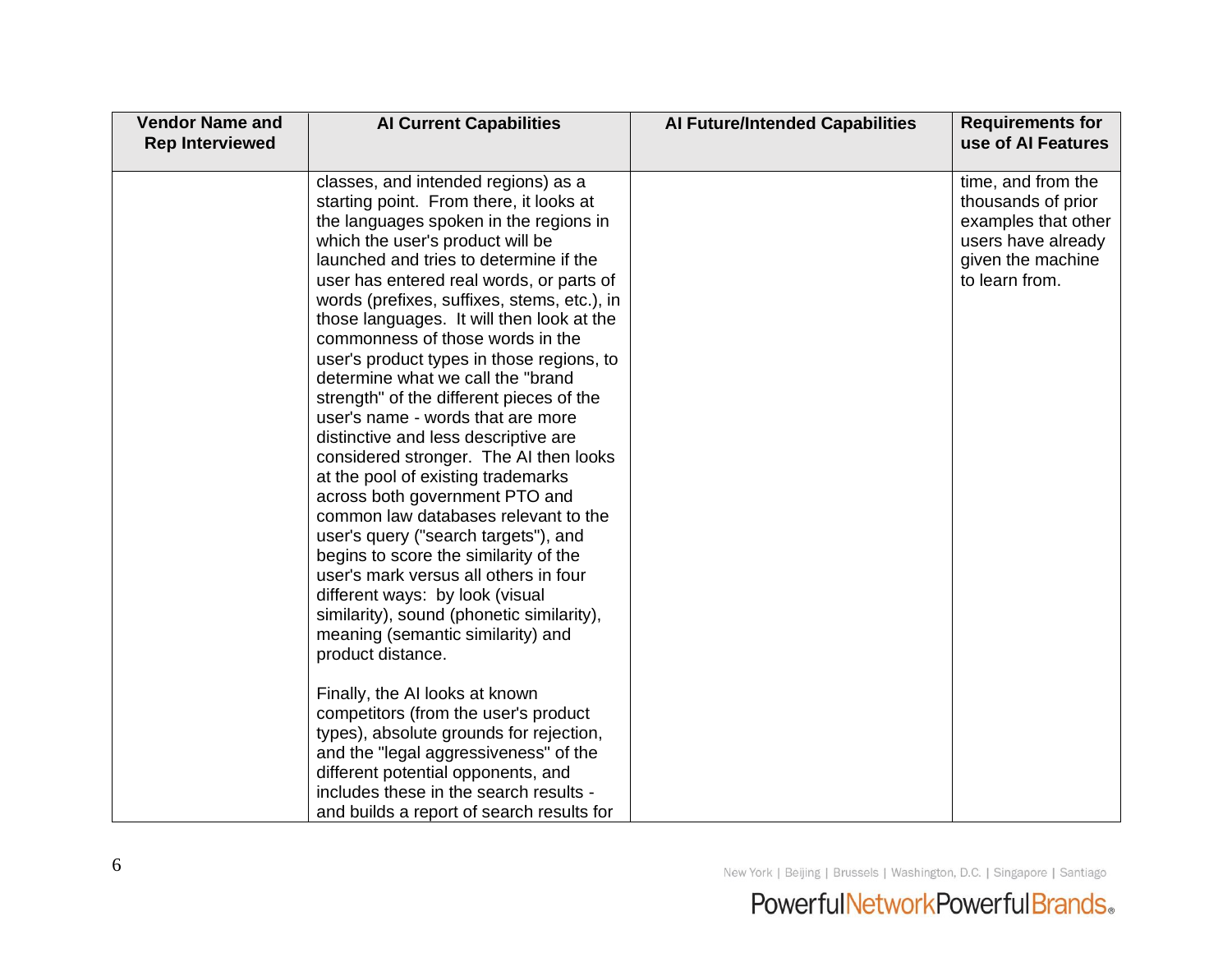| <b>Vendor Name and</b><br><b>Rep Interviewed</b> | <b>Al Current Capabilities</b>                                                                                                                                                                                                                                                                                                                                                                                                                                                                                                                                                                                                                                                                                                                                                                                                                                                                                                                                                                                              | <b>Al Future/Intended Capabilities</b> | <b>Requirements for</b><br>use of AI Features                                                                                |
|--------------------------------------------------|-----------------------------------------------------------------------------------------------------------------------------------------------------------------------------------------------------------------------------------------------------------------------------------------------------------------------------------------------------------------------------------------------------------------------------------------------------------------------------------------------------------------------------------------------------------------------------------------------------------------------------------------------------------------------------------------------------------------------------------------------------------------------------------------------------------------------------------------------------------------------------------------------------------------------------------------------------------------------------------------------------------------------------|----------------------------------------|------------------------------------------------------------------------------------------------------------------------------|
|                                                  | classes, and intended regions) as a<br>starting point. From there, it looks at<br>the languages spoken in the regions in<br>which the user's product will be<br>launched and tries to determine if the<br>user has entered real words, or parts of<br>words (prefixes, suffixes, stems, etc.), in<br>those languages. It will then look at the<br>commonness of those words in the<br>user's product types in those regions, to<br>determine what we call the "brand<br>strength" of the different pieces of the<br>user's name - words that are more<br>distinctive and less descriptive are<br>considered stronger. The AI then looks<br>at the pool of existing trademarks<br>across both government PTO and<br>common law databases relevant to the<br>user's query ("search targets"), and<br>begins to score the similarity of the<br>user's mark versus all others in four<br>different ways: by look (visual<br>similarity), sound (phonetic similarity),<br>meaning (semantic similarity) and<br>product distance. |                                        | time, and from the<br>thousands of prior<br>examples that other<br>users have already<br>given the machine<br>to learn from. |
|                                                  | Finally, the AI looks at known<br>competitors (from the user's product<br>types), absolute grounds for rejection,<br>and the "legal aggressiveness" of the<br>different potential opponents, and<br>includes these in the search results -<br>and builds a report of search results for                                                                                                                                                                                                                                                                                                                                                                                                                                                                                                                                                                                                                                                                                                                                     |                                        |                                                                                                                              |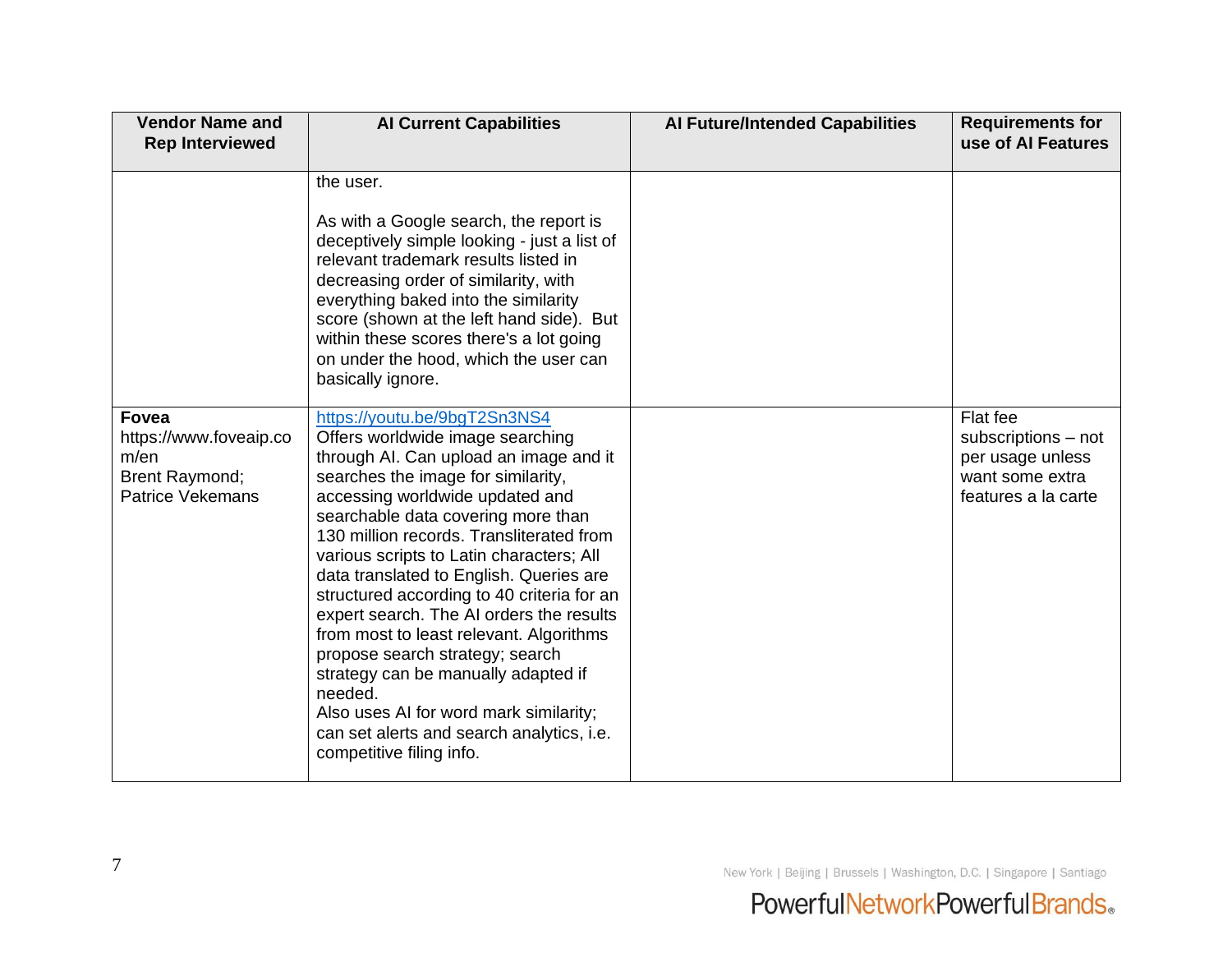| <b>Vendor Name and</b><br><b>Rep Interviewed</b>                                                   | <b>Al Current Capabilities</b>                                                                                                                                                                                                                                                                                                                                                                                                                                                                                                                                                                                                                                                                            | <b>Al Future/Intended Capabilities</b> | <b>Requirements for</b><br>use of AI Features                                                 |
|----------------------------------------------------------------------------------------------------|-----------------------------------------------------------------------------------------------------------------------------------------------------------------------------------------------------------------------------------------------------------------------------------------------------------------------------------------------------------------------------------------------------------------------------------------------------------------------------------------------------------------------------------------------------------------------------------------------------------------------------------------------------------------------------------------------------------|----------------------------------------|-----------------------------------------------------------------------------------------------|
|                                                                                                    | the user.<br>As with a Google search, the report is<br>deceptively simple looking - just a list of<br>relevant trademark results listed in<br>decreasing order of similarity, with<br>everything baked into the similarity<br>score (shown at the left hand side). But<br>within these scores there's a lot going<br>on under the hood, which the user can<br>basically ignore.                                                                                                                                                                                                                                                                                                                           |                                        |                                                                                               |
| <b>Fovea</b><br>https://www.foveaip.co<br>m/en<br><b>Brent Raymond;</b><br><b>Patrice Vekemans</b> | https://youtu.be/9bgT2Sn3NS4<br>Offers worldwide image searching<br>through AI. Can upload an image and it<br>searches the image for similarity,<br>accessing worldwide updated and<br>searchable data covering more than<br>130 million records. Transliterated from<br>various scripts to Latin characters; All<br>data translated to English. Queries are<br>structured according to 40 criteria for an<br>expert search. The AI orders the results<br>from most to least relevant. Algorithms<br>propose search strategy; search<br>strategy can be manually adapted if<br>needed.<br>Also uses AI for word mark similarity;<br>can set alerts and search analytics, i.e.<br>competitive filing info. |                                        | Flat fee<br>subscriptions - not<br>per usage unless<br>want some extra<br>features a la carte |

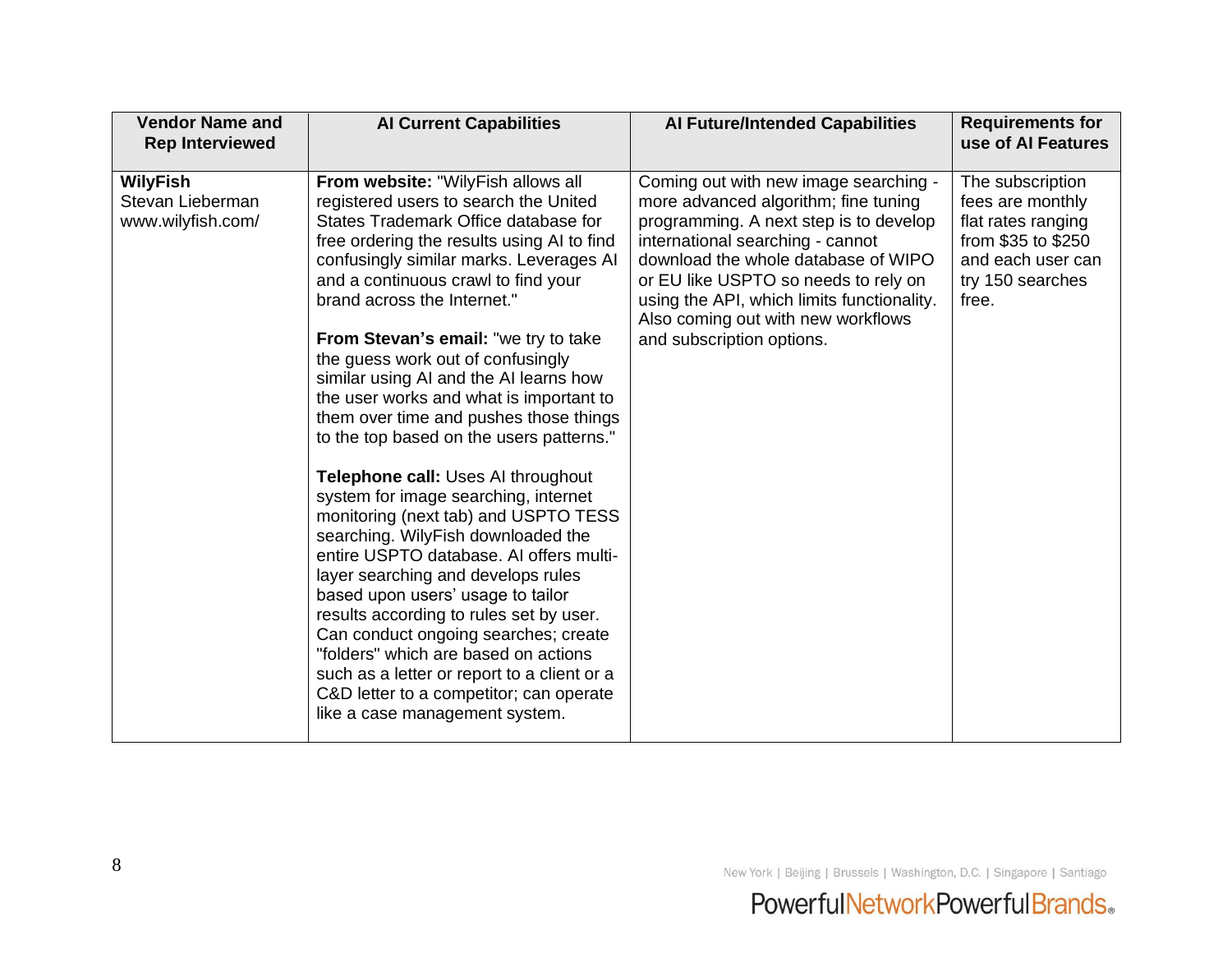| <b>Vendor Name and</b><br><b>Rep Interviewed</b>         | <b>Al Current Capabilities</b>                                                                                                                                                                                                                                                                                                                                                                                                                                                                                                                                                                                                                                                                                                                                                                                                                                                                                                                                                                                                                                                      | <b>Al Future/Intended Capabilities</b>                                                                                                                                                                                                                                                                                                                      | <b>Requirements for</b><br>use of AI Features                                                                                      |
|----------------------------------------------------------|-------------------------------------------------------------------------------------------------------------------------------------------------------------------------------------------------------------------------------------------------------------------------------------------------------------------------------------------------------------------------------------------------------------------------------------------------------------------------------------------------------------------------------------------------------------------------------------------------------------------------------------------------------------------------------------------------------------------------------------------------------------------------------------------------------------------------------------------------------------------------------------------------------------------------------------------------------------------------------------------------------------------------------------------------------------------------------------|-------------------------------------------------------------------------------------------------------------------------------------------------------------------------------------------------------------------------------------------------------------------------------------------------------------------------------------------------------------|------------------------------------------------------------------------------------------------------------------------------------|
| <b>WilyFish</b><br>Stevan Lieberman<br>www.wilyfish.com/ | From website: "WilyFish allows all<br>registered users to search the United<br>States Trademark Office database for<br>free ordering the results using AI to find<br>confusingly similar marks. Leverages AI<br>and a continuous crawl to find your<br>brand across the Internet."<br>From Stevan's email: "we try to take<br>the guess work out of confusingly<br>similar using AI and the AI learns how<br>the user works and what is important to<br>them over time and pushes those things<br>to the top based on the users patterns."<br>Telephone call: Uses AI throughout<br>system for image searching, internet<br>monitoring (next tab) and USPTO TESS<br>searching. WilyFish downloaded the<br>entire USPTO database. AI offers multi-<br>layer searching and develops rules<br>based upon users' usage to tailor<br>results according to rules set by user.<br>Can conduct ongoing searches; create<br>"folders" which are based on actions<br>such as a letter or report to a client or a<br>C&D letter to a competitor; can operate<br>like a case management system. | Coming out with new image searching -<br>more advanced algorithm; fine tuning<br>programming. A next step is to develop<br>international searching - cannot<br>download the whole database of WIPO<br>or EU like USPTO so needs to rely on<br>using the API, which limits functionality.<br>Also coming out with new workflows<br>and subscription options. | The subscription<br>fees are monthly<br>flat rates ranging<br>from \$35 to \$250<br>and each user can<br>try 150 searches<br>free. |

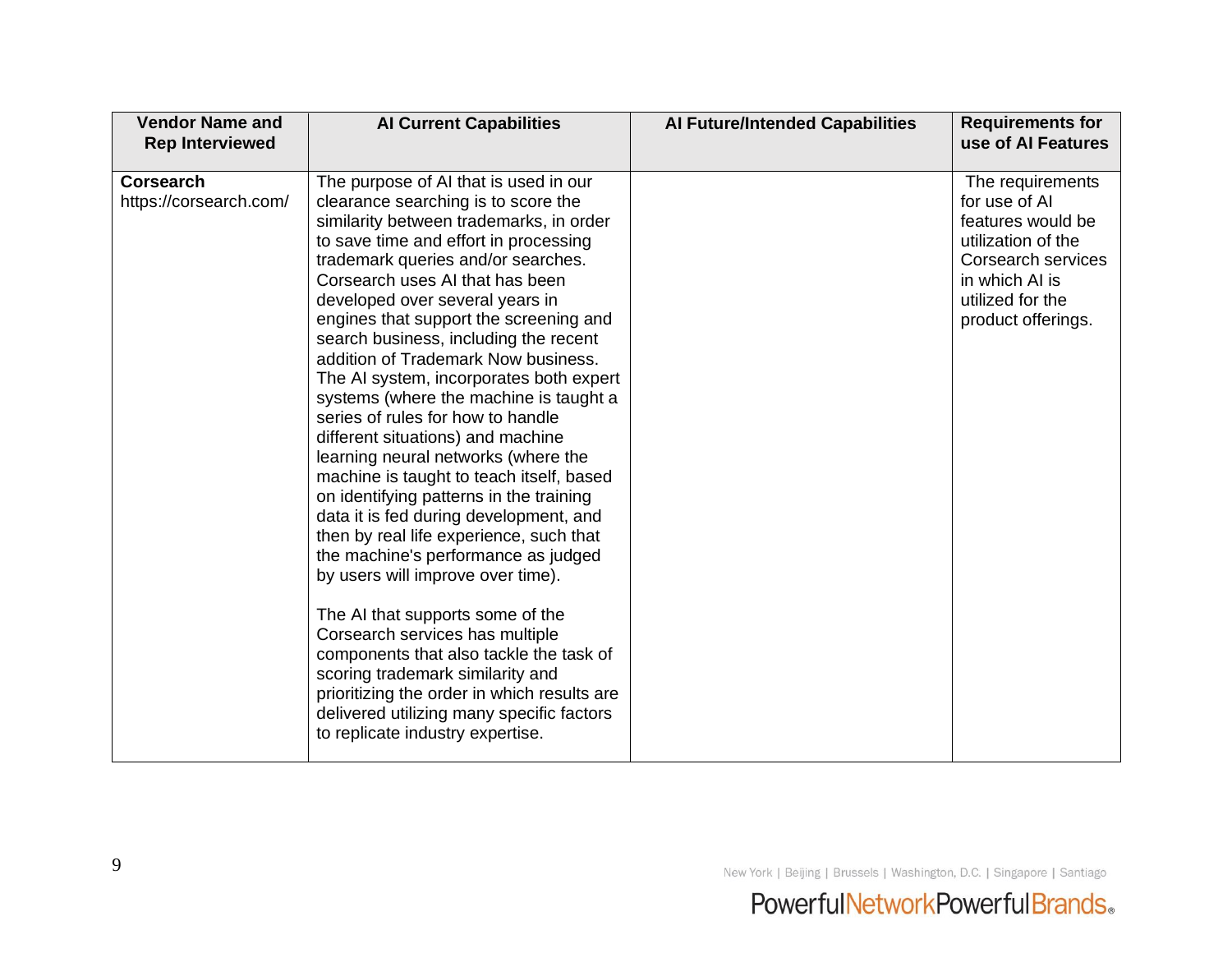| <b>Vendor Name and</b><br><b>Rep Interviewed</b> | <b>Al Current Capabilities</b>                                                                                                                                                                                                                                                                                                                                                                                                                                                                                                                                                                                                                                                                                                                                                                                                                                                                                                                                                                                                                                                                                                                             | <b>Al Future/Intended Capabilities</b> | <b>Requirements for</b><br>use of AI Features                                                                                                                  |
|--------------------------------------------------|------------------------------------------------------------------------------------------------------------------------------------------------------------------------------------------------------------------------------------------------------------------------------------------------------------------------------------------------------------------------------------------------------------------------------------------------------------------------------------------------------------------------------------------------------------------------------------------------------------------------------------------------------------------------------------------------------------------------------------------------------------------------------------------------------------------------------------------------------------------------------------------------------------------------------------------------------------------------------------------------------------------------------------------------------------------------------------------------------------------------------------------------------------|----------------------------------------|----------------------------------------------------------------------------------------------------------------------------------------------------------------|
| <b>Corsearch</b><br>https://corsearch.com/       | The purpose of AI that is used in our<br>clearance searching is to score the<br>similarity between trademarks, in order<br>to save time and effort in processing<br>trademark queries and/or searches.<br>Corsearch uses AI that has been<br>developed over several years in<br>engines that support the screening and<br>search business, including the recent<br>addition of Trademark Now business.<br>The AI system, incorporates both expert<br>systems (where the machine is taught a<br>series of rules for how to handle<br>different situations) and machine<br>learning neural networks (where the<br>machine is taught to teach itself, based<br>on identifying patterns in the training<br>data it is fed during development, and<br>then by real life experience, such that<br>the machine's performance as judged<br>by users will improve over time).<br>The AI that supports some of the<br>Corsearch services has multiple<br>components that also tackle the task of<br>scoring trademark similarity and<br>prioritizing the order in which results are<br>delivered utilizing many specific factors<br>to replicate industry expertise. |                                        | The requirements<br>for use of AI<br>features would be<br>utilization of the<br>Corsearch services<br>in which AI is<br>utilized for the<br>product offerings. |

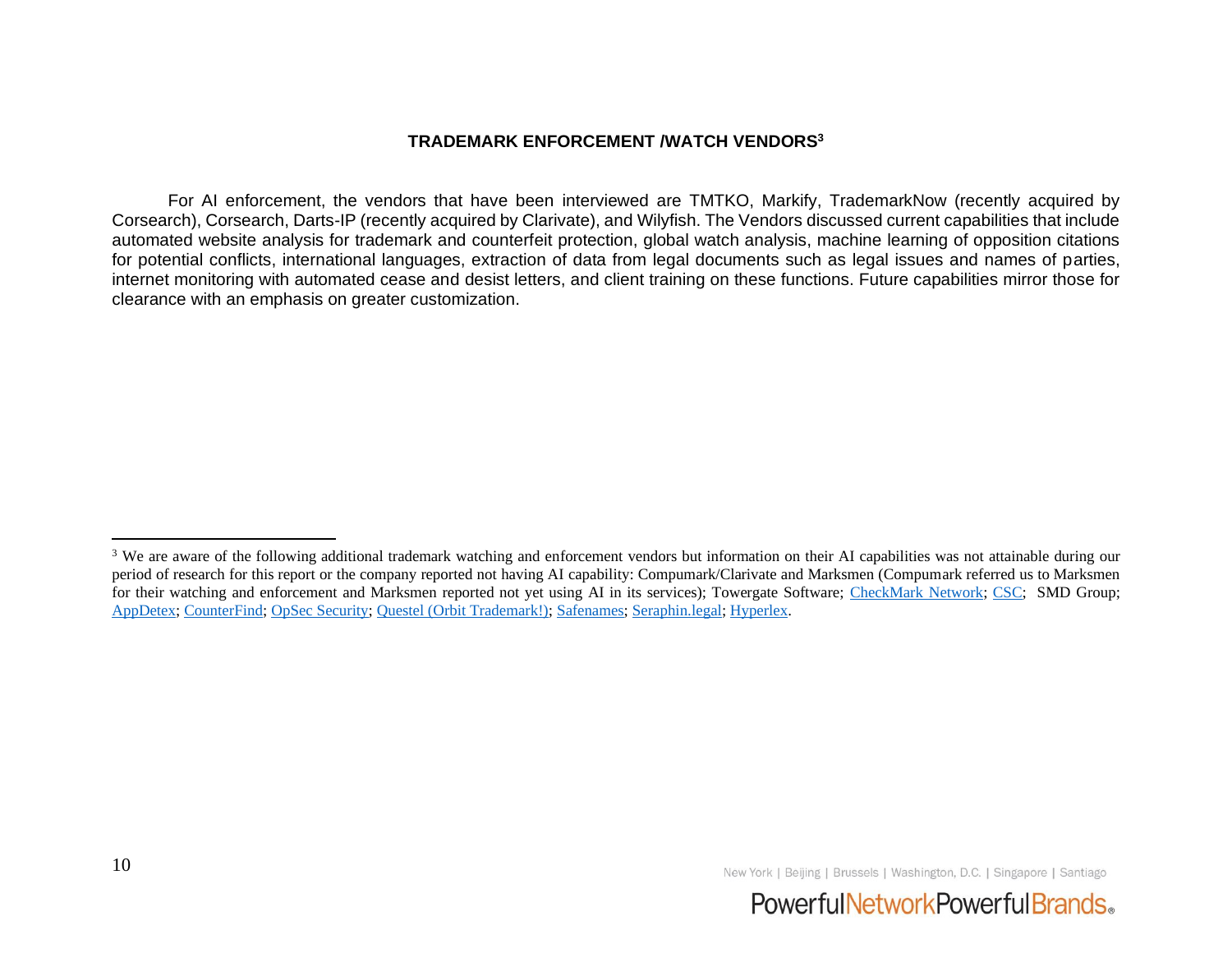#### **TRADEMARK ENFORCEMENT /WATCH VENDORS<sup>3</sup>**

For AI enforcement, the vendors that have been interviewed are TMTKO, Markify, TrademarkNow (recently acquired by Corsearch), Corsearch, Darts-IP (recently acquired by Clarivate), and Wilyfish. The Vendors discussed current capabilities that include automated website analysis for trademark and counterfeit protection, global watch analysis, machine learning of opposition citations for potential conflicts, international languages, extraction of data from legal documents such as legal issues and names of parties, internet monitoring with automated cease and desist letters, and client training on these functions. Future capabilities mirror those for clearance with an emphasis on greater customization.



<sup>&</sup>lt;sup>3</sup> We are aware of the following additional trademark watching and enforcement vendors but information on their AI capabilities was not attainable during our period of research for this report or the company reported not having AI capability: Compumark/Clarivate and Marksmen (Compumark referred us to Marksmen for their watching and enforcement and Marksmen reported not yet using AI in its services); Towergate Software; [CheckMark Network;](https://www.checkmarknetwork.com/) [CSC;](https://www.cscdigitalbrand.services/) SMD Group; [AppDetex;](http://www.appdetex.com/) [CounterFind;](about:blank) [OpSec Security;](http://www.opsecsecurity.com/) [Questel \(Orbit Trademark!\);](https://www.questel.com/software/ipbi/orbit-trademark) [Safenames;](http://www.safenames.net/) [Seraphin.legal;](https://seraphin.legal/) [Hyperlex.](https://hyperlex.ai/)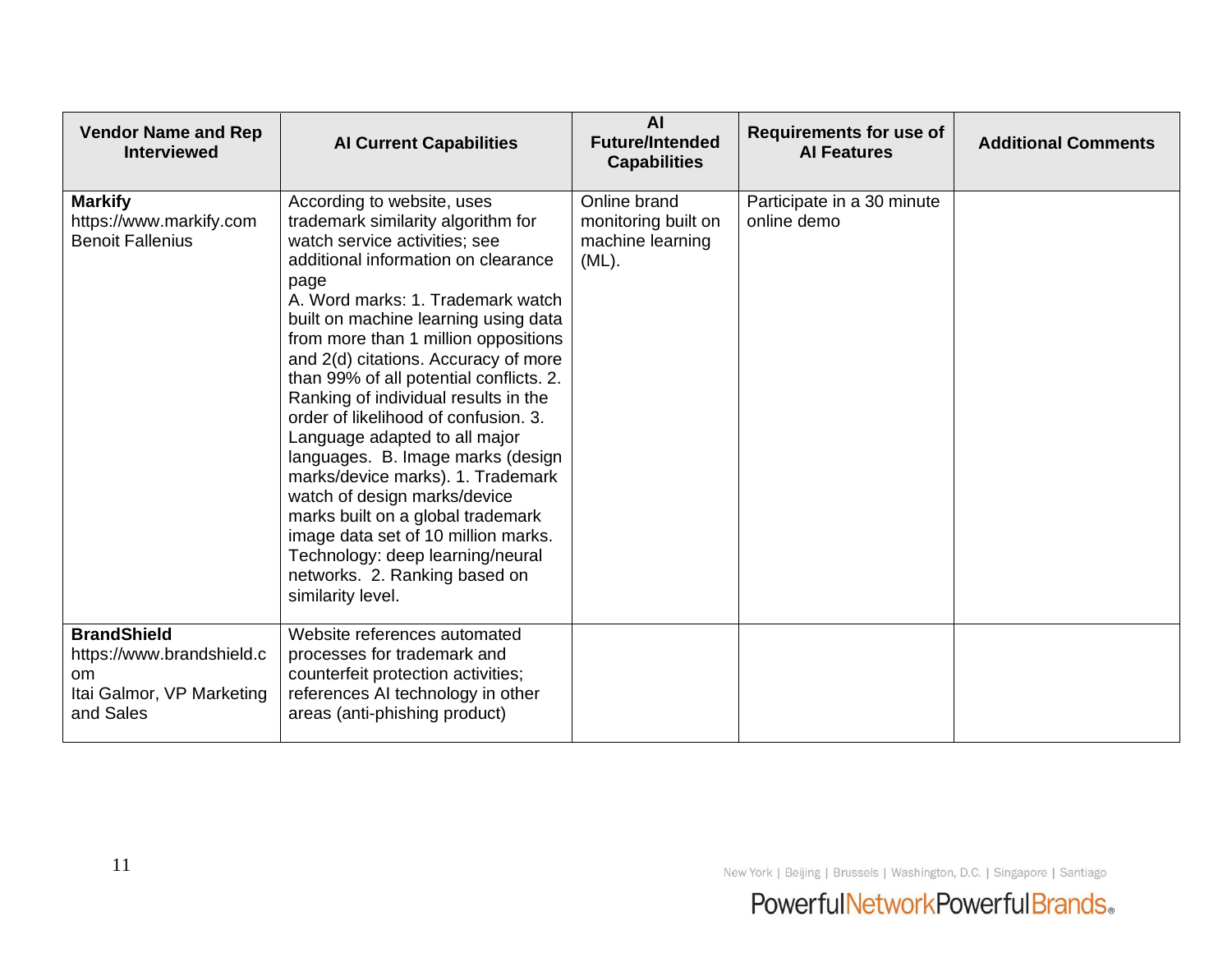| <b>Vendor Name and Rep</b><br><b>Interviewed</b>                                                           | <b>Al Current Capabilities</b>                                                                                                                                                                                                                                                                                                                                                                                                                                                                                                                                                                                                                                                                                                                            | <b>AI</b><br><b>Future/Intended</b><br><b>Capabilities</b>          | <b>Requirements for use of</b><br><b>Al Features</b> | <b>Additional Comments</b> |
|------------------------------------------------------------------------------------------------------------|-----------------------------------------------------------------------------------------------------------------------------------------------------------------------------------------------------------------------------------------------------------------------------------------------------------------------------------------------------------------------------------------------------------------------------------------------------------------------------------------------------------------------------------------------------------------------------------------------------------------------------------------------------------------------------------------------------------------------------------------------------------|---------------------------------------------------------------------|------------------------------------------------------|----------------------------|
| <b>Markify</b><br>https://www.markify.com<br><b>Benoit Fallenius</b>                                       | According to website, uses<br>trademark similarity algorithm for<br>watch service activities; see<br>additional information on clearance<br>page<br>A. Word marks: 1. Trademark watch<br>built on machine learning using data<br>from more than 1 million oppositions<br>and 2(d) citations. Accuracy of more<br>than 99% of all potential conflicts. 2.<br>Ranking of individual results in the<br>order of likelihood of confusion. 3.<br>Language adapted to all major<br>languages. B. Image marks (design<br>marks/device marks). 1. Trademark<br>watch of design marks/device<br>marks built on a global trademark<br>image data set of 10 million marks.<br>Technology: deep learning/neural<br>networks. 2. Ranking based on<br>similarity level. | Online brand<br>monitoring built on<br>machine learning<br>$(ML)$ . | Participate in a 30 minute<br>online demo            |                            |
| <b>BrandShield</b><br>https://www.brandshield.c<br><sub>om</sub><br>Itai Galmor, VP Marketing<br>and Sales | Website references automated<br>processes for trademark and<br>counterfeit protection activities;<br>references AI technology in other<br>areas (anti-phishing product)                                                                                                                                                                                                                                                                                                                                                                                                                                                                                                                                                                                   |                                                                     |                                                      |                            |

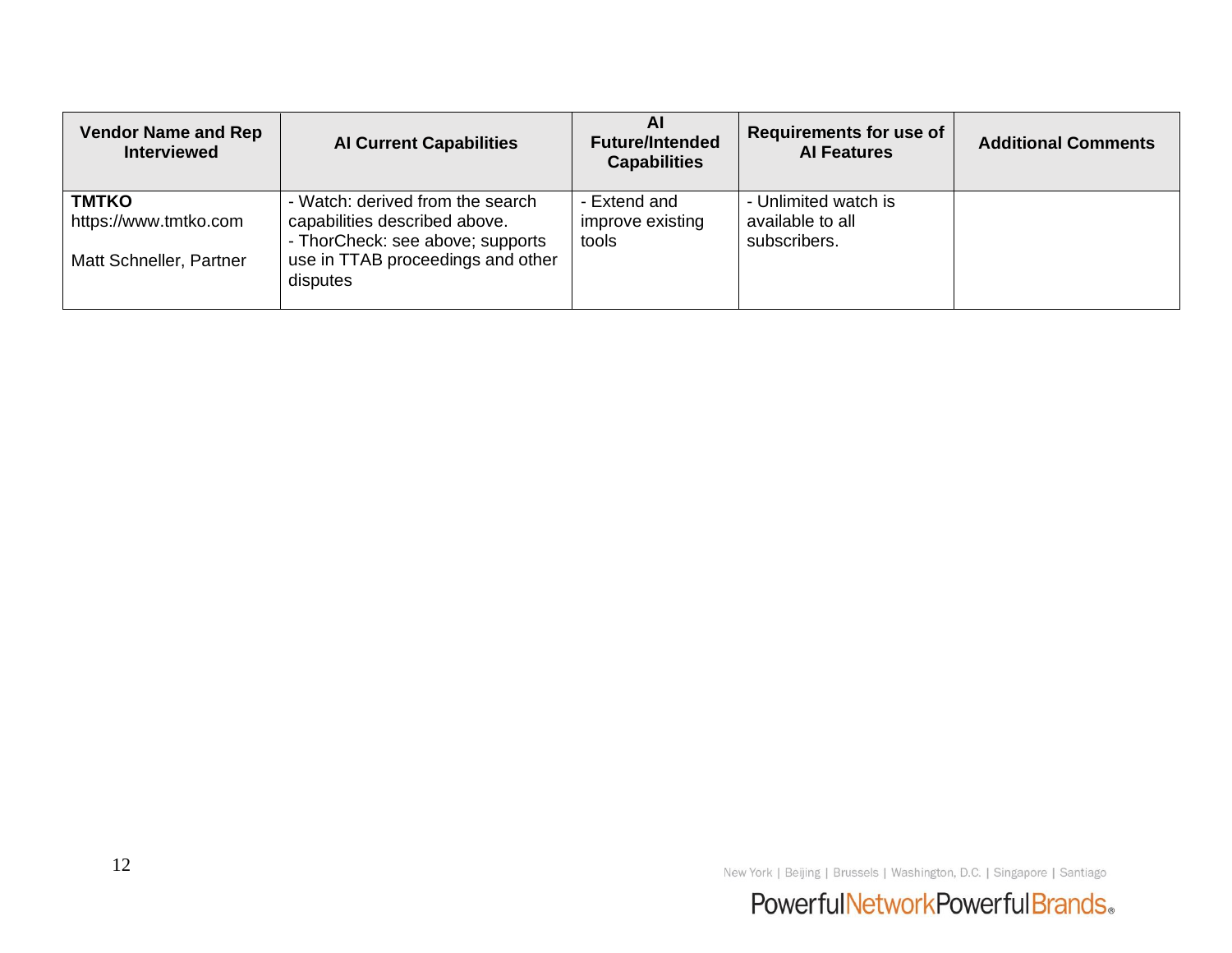| <b>Vendor Name and Rep</b><br><b>Interviewed</b>                 | <b>Al Current Capabilities</b>                                                                                                                         | AI<br><b>Future/Intended</b><br><b>Capabilities</b> | <b>Requirements for use of</b><br><b>Al Features</b>     | <b>Additional Comments</b> |
|------------------------------------------------------------------|--------------------------------------------------------------------------------------------------------------------------------------------------------|-----------------------------------------------------|----------------------------------------------------------|----------------------------|
| <b>TMTKO</b><br>https://www.tmtko.com<br>Matt Schneller, Partner | - Watch: derived from the search<br>capabilities described above.<br>- ThorCheck: see above; supports<br>use in TTAB proceedings and other<br>disputes | - Extend and<br>improve existing<br>tools           | - Unlimited watch is<br>available to all<br>subscribers. |                            |

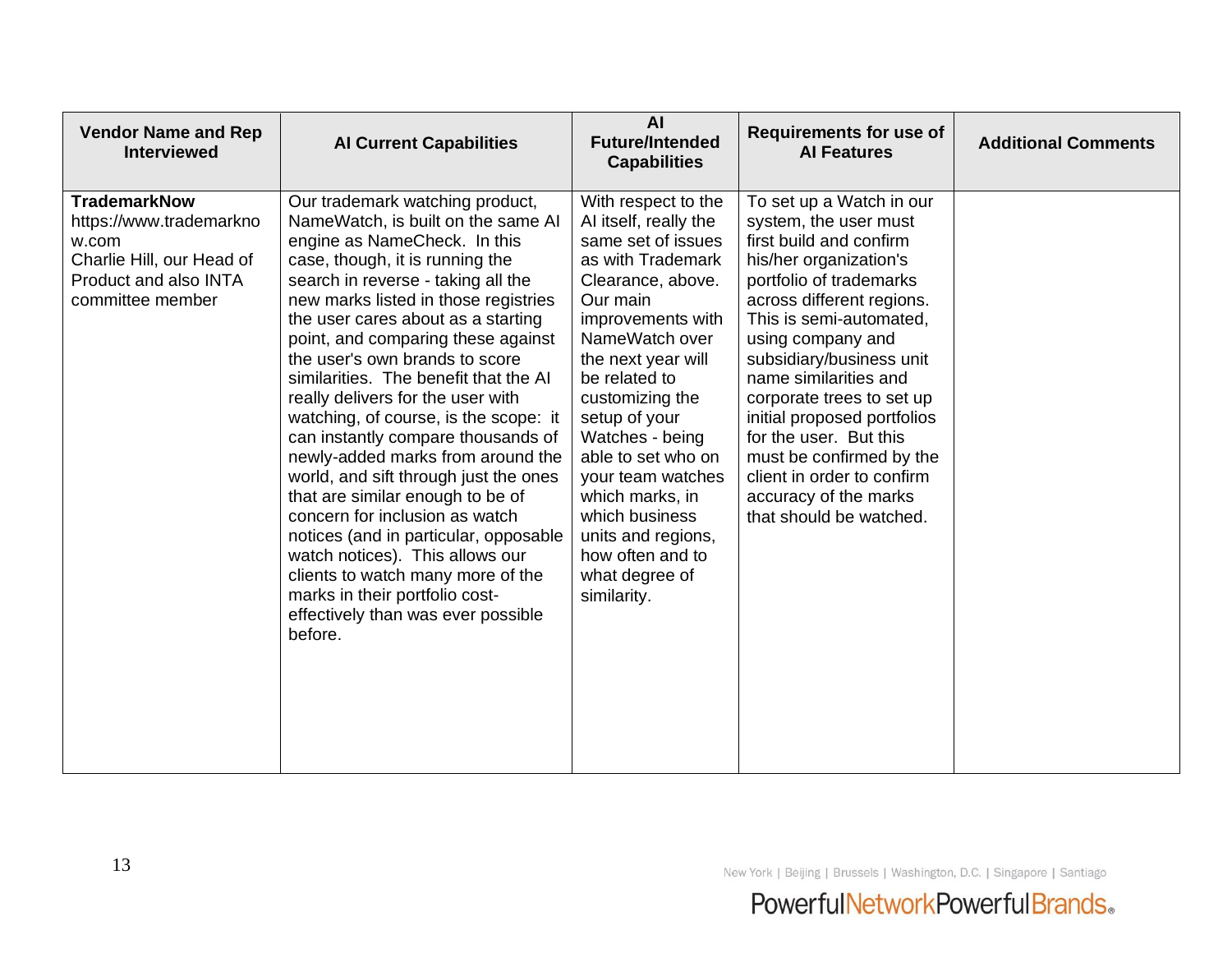| <b>Vendor Name and Rep</b><br><b>Interviewed</b>                                                                                  | <b>Al Current Capabilities</b>                                                                                                                                                                                                                                                                                                                                                                                                                                                                                                                                                                                                                                                                                                                                                                                                                            | <b>AI</b><br><b>Future/Intended</b><br><b>Capabilities</b>                                                                                                                                                                                                                                                                                                                                                               | <b>Requirements for use of</b><br><b>Al Features</b>                                                                                                                                                                                                                                                                                                                                                                                                                    | <b>Additional Comments</b> |
|-----------------------------------------------------------------------------------------------------------------------------------|-----------------------------------------------------------------------------------------------------------------------------------------------------------------------------------------------------------------------------------------------------------------------------------------------------------------------------------------------------------------------------------------------------------------------------------------------------------------------------------------------------------------------------------------------------------------------------------------------------------------------------------------------------------------------------------------------------------------------------------------------------------------------------------------------------------------------------------------------------------|--------------------------------------------------------------------------------------------------------------------------------------------------------------------------------------------------------------------------------------------------------------------------------------------------------------------------------------------------------------------------------------------------------------------------|-------------------------------------------------------------------------------------------------------------------------------------------------------------------------------------------------------------------------------------------------------------------------------------------------------------------------------------------------------------------------------------------------------------------------------------------------------------------------|----------------------------|
| <b>TrademarkNow</b><br>https://www.trademarkno<br>w.com<br>Charlie Hill, our Head of<br>Product and also INTA<br>committee member | Our trademark watching product,<br>NameWatch, is built on the same AI<br>engine as NameCheck. In this<br>case, though, it is running the<br>search in reverse - taking all the<br>new marks listed in those registries<br>the user cares about as a starting<br>point, and comparing these against<br>the user's own brands to score<br>similarities. The benefit that the AI<br>really delivers for the user with<br>watching, of course, is the scope: it<br>can instantly compare thousands of<br>newly-added marks from around the<br>world, and sift through just the ones<br>that are similar enough to be of<br>concern for inclusion as watch<br>notices (and in particular, opposable<br>watch notices). This allows our<br>clients to watch many more of the<br>marks in their portfolio cost-<br>effectively than was ever possible<br>before. | With respect to the<br>AI itself, really the<br>same set of issues<br>as with Trademark<br>Clearance, above.<br>Our main<br>improvements with<br>NameWatch over<br>the next year will<br>be related to<br>customizing the<br>setup of your<br>Watches - being<br>able to set who on<br>your team watches<br>which marks, in<br>which business<br>units and regions,<br>how often and to<br>what degree of<br>similarity. | To set up a Watch in our<br>system, the user must<br>first build and confirm<br>his/her organization's<br>portfolio of trademarks<br>across different regions.<br>This is semi-automated,<br>using company and<br>subsidiary/business unit<br>name similarities and<br>corporate trees to set up<br>initial proposed portfolios<br>for the user. But this<br>must be confirmed by the<br>client in order to confirm<br>accuracy of the marks<br>that should be watched. |                            |

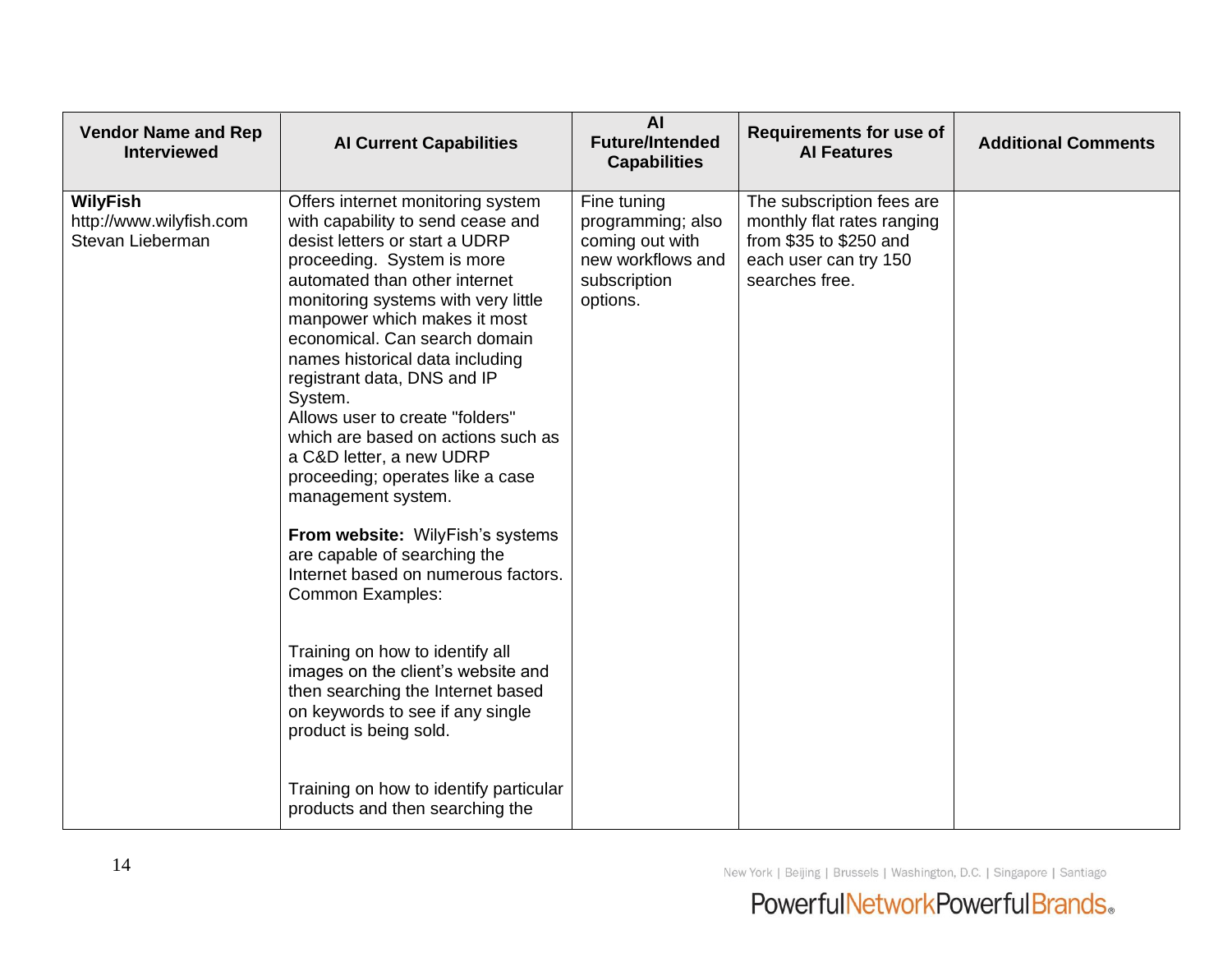| <b>Vendor Name and Rep</b><br><b>Interviewed</b>               | <b>Al Current Capabilities</b>                                                                                                                                                                                                                                                                                                                                                                                                                                                                                                                                                                                                                                                                                                                                                                                                         | <b>AI</b><br><b>Future/Intended</b><br><b>Capabilities</b>                                           | <b>Requirements for use of</b><br><b>Al Features</b>                                                                         | <b>Additional Comments</b> |
|----------------------------------------------------------------|----------------------------------------------------------------------------------------------------------------------------------------------------------------------------------------------------------------------------------------------------------------------------------------------------------------------------------------------------------------------------------------------------------------------------------------------------------------------------------------------------------------------------------------------------------------------------------------------------------------------------------------------------------------------------------------------------------------------------------------------------------------------------------------------------------------------------------------|------------------------------------------------------------------------------------------------------|------------------------------------------------------------------------------------------------------------------------------|----------------------------|
| <b>WilyFish</b><br>http://www.wilyfish.com<br>Stevan Lieberman | Offers internet monitoring system<br>with capability to send cease and<br>desist letters or start a UDRP<br>proceeding. System is more<br>automated than other internet<br>monitoring systems with very little<br>manpower which makes it most<br>economical. Can search domain<br>names historical data including<br>registrant data, DNS and IP<br>System.<br>Allows user to create "folders"<br>which are based on actions such as<br>a C&D letter, a new UDRP<br>proceeding; operates like a case<br>management system.<br>From website: WilyFish's systems<br>are capable of searching the<br>Internet based on numerous factors.<br>Common Examples:<br>Training on how to identify all<br>images on the client's website and<br>then searching the Internet based<br>on keywords to see if any single<br>product is being sold. | Fine tuning<br>programming; also<br>coming out with<br>new workflows and<br>subscription<br>options. | The subscription fees are<br>monthly flat rates ranging<br>from \$35 to \$250 and<br>each user can try 150<br>searches free. |                            |
|                                                                | Training on how to identify particular<br>products and then searching the                                                                                                                                                                                                                                                                                                                                                                                                                                                                                                                                                                                                                                                                                                                                                              |                                                                                                      |                                                                                                                              |                            |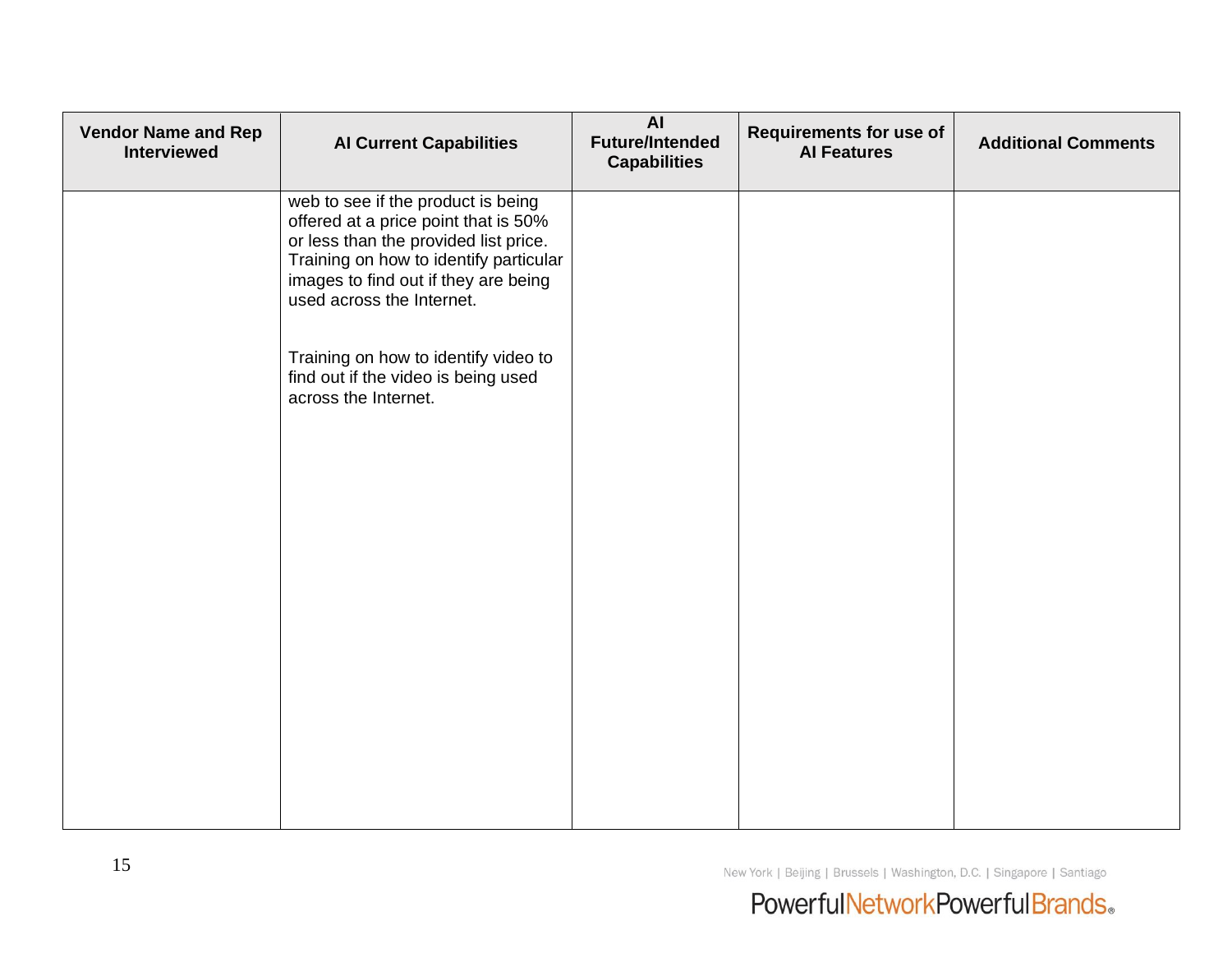| <b>Vendor Name and Rep</b><br><b>Interviewed</b> | <b>Al Current Capabilities</b>                                                                                                                                                                                                     | <b>AI</b><br><b>Future/Intended</b><br><b>Capabilities</b> | <b>Requirements for use of</b><br><b>Al Features</b> | <b>Additional Comments</b> |
|--------------------------------------------------|------------------------------------------------------------------------------------------------------------------------------------------------------------------------------------------------------------------------------------|------------------------------------------------------------|------------------------------------------------------|----------------------------|
|                                                  | web to see if the product is being<br>offered at a price point that is 50%<br>or less than the provided list price.<br>Training on how to identify particular<br>images to find out if they are being<br>used across the Internet. |                                                            |                                                      |                            |
|                                                  | Training on how to identify video to<br>find out if the video is being used<br>across the Internet.                                                                                                                                |                                                            |                                                      |                            |
|                                                  |                                                                                                                                                                                                                                    |                                                            |                                                      |                            |
|                                                  |                                                                                                                                                                                                                                    |                                                            |                                                      |                            |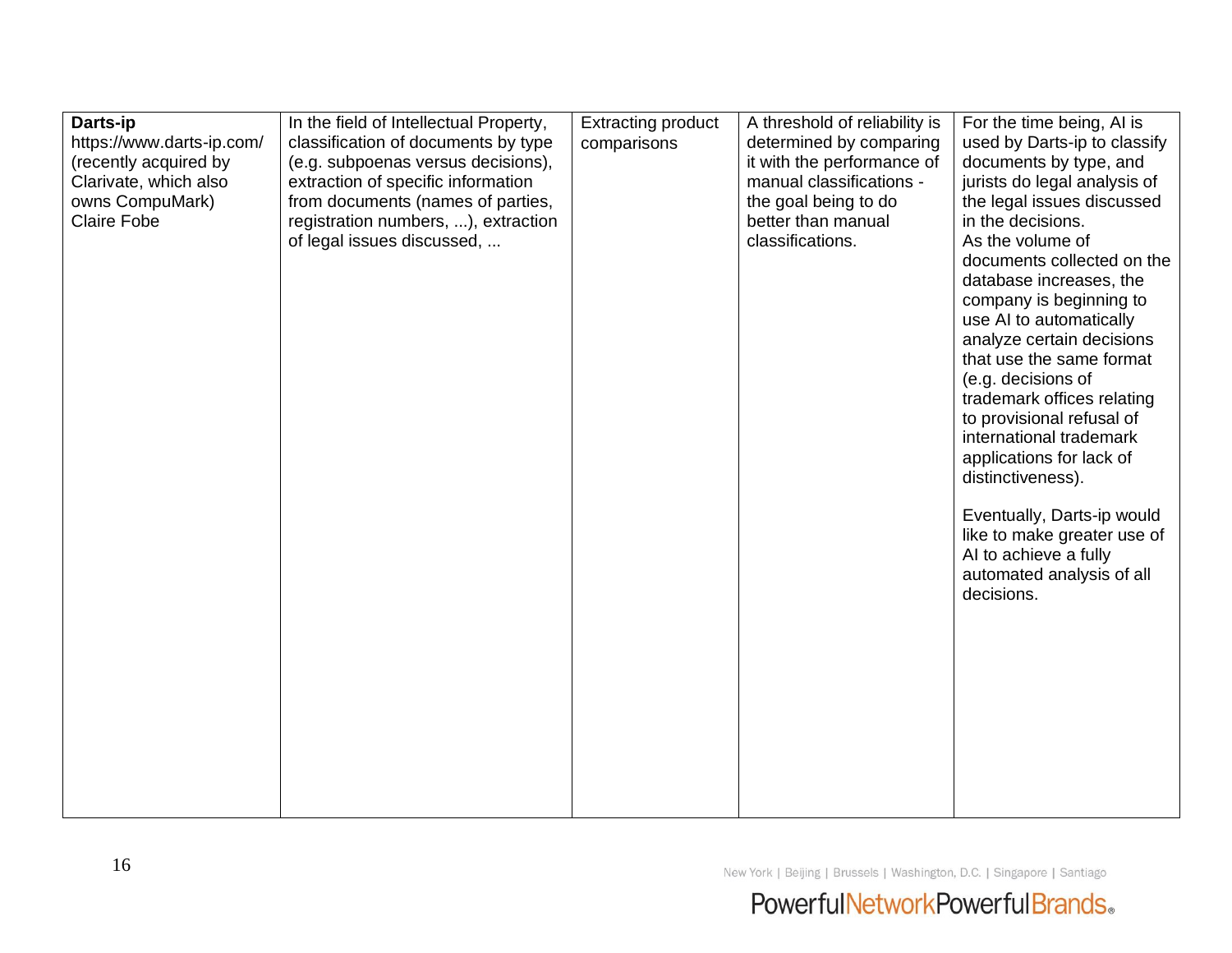| Darts-ip                  | In the field of Intellectual Property, | <b>Extracting product</b> | A threshold of reliability is | For the time being, AI is    |
|---------------------------|----------------------------------------|---------------------------|-------------------------------|------------------------------|
| https://www.darts-ip.com/ | classification of documents by type    | comparisons               | determined by comparing       | used by Darts-ip to classify |
| (recently acquired by     | (e.g. subpoenas versus decisions),     |                           | it with the performance of    | documents by type, and       |
| Clarivate, which also     | extraction of specific information     |                           | manual classifications -      | jurists do legal analysis of |
| owns CompuMark)           | from documents (names of parties,      |                           | the goal being to do          | the legal issues discussed   |
| <b>Claire Fobe</b>        | registration numbers, ), extraction    |                           | better than manual            | in the decisions.            |
|                           | of legal issues discussed,             |                           | classifications.              | As the volume of             |
|                           |                                        |                           |                               | documents collected on the   |
|                           |                                        |                           |                               | database increases, the      |
|                           |                                        |                           |                               | company is beginning to      |
|                           |                                        |                           |                               | use AI to automatically      |
|                           |                                        |                           |                               | analyze certain decisions    |
|                           |                                        |                           |                               | that use the same format     |
|                           |                                        |                           |                               | (e.g. decisions of           |
|                           |                                        |                           |                               | trademark offices relating   |
|                           |                                        |                           |                               | to provisional refusal of    |
|                           |                                        |                           |                               | international trademark      |
|                           |                                        |                           |                               | applications for lack of     |
|                           |                                        |                           |                               | distinctiveness).            |
|                           |                                        |                           |                               |                              |
|                           |                                        |                           |                               | Eventually, Darts-ip would   |
|                           |                                        |                           |                               | like to make greater use of  |
|                           |                                        |                           |                               | Al to achieve a fully        |
|                           |                                        |                           |                               | automated analysis of all    |
|                           |                                        |                           |                               | decisions.                   |
|                           |                                        |                           |                               |                              |
|                           |                                        |                           |                               |                              |
|                           |                                        |                           |                               |                              |
|                           |                                        |                           |                               |                              |
|                           |                                        |                           |                               |                              |
|                           |                                        |                           |                               |                              |
|                           |                                        |                           |                               |                              |
|                           |                                        |                           |                               |                              |
|                           |                                        |                           |                               |                              |
|                           |                                        |                           |                               |                              |
|                           |                                        |                           |                               |                              |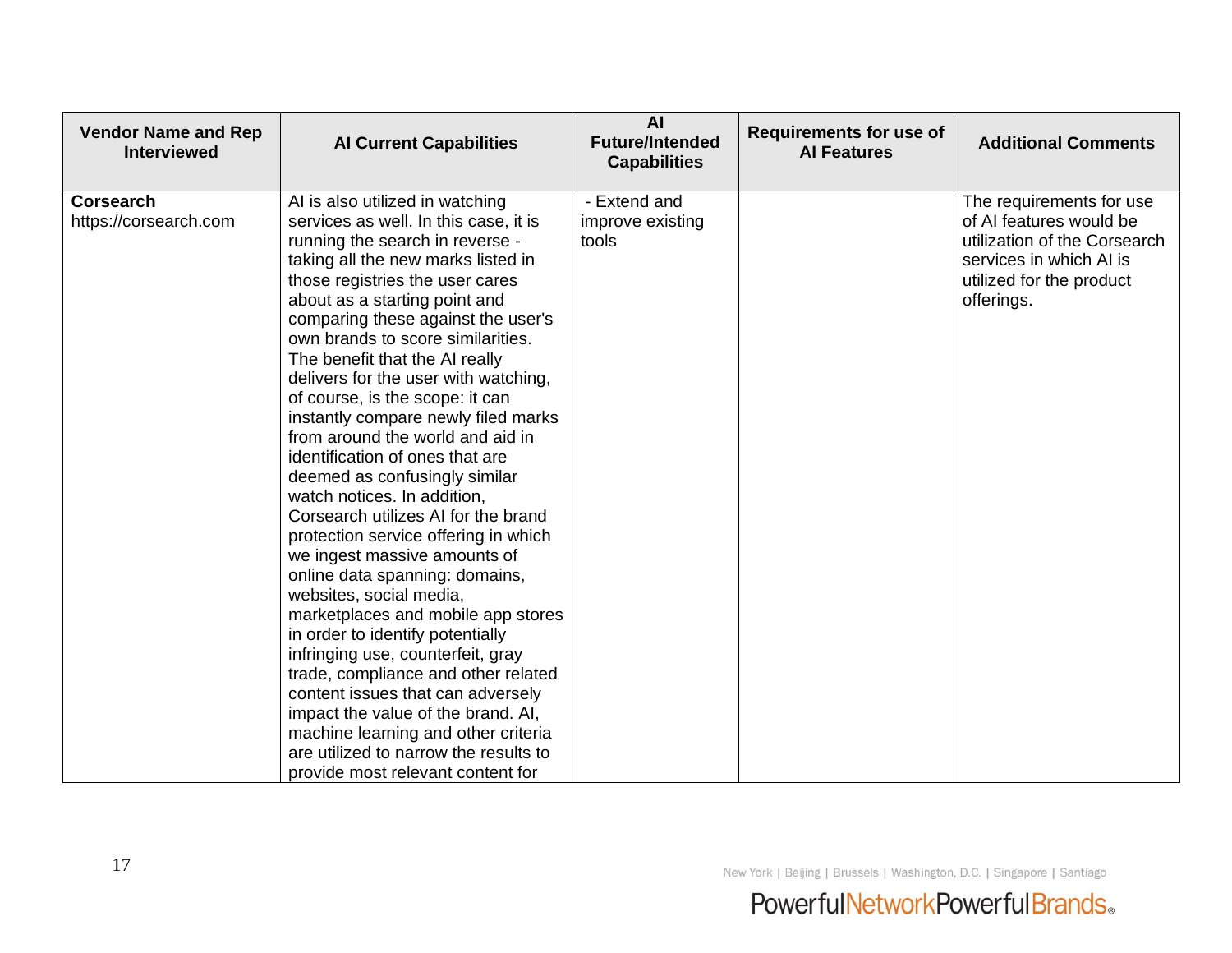| <b>Vendor Name and Rep</b><br><b>Interviewed</b> | <b>Al Current Capabilities</b>                                                                                                                                                                                                                                                                                                                                                                                                                                                                                                                                                                                                                                                                                                                                                                                                                                                                                                                                                                                                                                                                                                | <b>AI</b><br><b>Future/Intended</b><br><b>Capabilities</b> | <b>Requirements for use of</b><br><b>Al Features</b> | <b>Additional Comments</b>                                                                                                                               |
|--------------------------------------------------|-------------------------------------------------------------------------------------------------------------------------------------------------------------------------------------------------------------------------------------------------------------------------------------------------------------------------------------------------------------------------------------------------------------------------------------------------------------------------------------------------------------------------------------------------------------------------------------------------------------------------------------------------------------------------------------------------------------------------------------------------------------------------------------------------------------------------------------------------------------------------------------------------------------------------------------------------------------------------------------------------------------------------------------------------------------------------------------------------------------------------------|------------------------------------------------------------|------------------------------------------------------|----------------------------------------------------------------------------------------------------------------------------------------------------------|
| <b>Corsearch</b><br>https://corsearch.com        | AI is also utilized in watching<br>services as well. In this case, it is<br>running the search in reverse -<br>taking all the new marks listed in<br>those registries the user cares<br>about as a starting point and<br>comparing these against the user's<br>own brands to score similarities.<br>The benefit that the AI really<br>delivers for the user with watching,<br>of course, is the scope: it can<br>instantly compare newly filed marks<br>from around the world and aid in<br>identification of ones that are<br>deemed as confusingly similar<br>watch notices. In addition,<br>Corsearch utilizes AI for the brand<br>protection service offering in which<br>we ingest massive amounts of<br>online data spanning: domains,<br>websites, social media,<br>marketplaces and mobile app stores<br>in order to identify potentially<br>infringing use, counterfeit, gray<br>trade, compliance and other related<br>content issues that can adversely<br>impact the value of the brand. AI,<br>machine learning and other criteria<br>are utilized to narrow the results to<br>provide most relevant content for | - Extend and<br>improve existing<br>tools                  |                                                      | The requirements for use<br>of AI features would be<br>utilization of the Corsearch<br>services in which AI is<br>utilized for the product<br>offerings. |